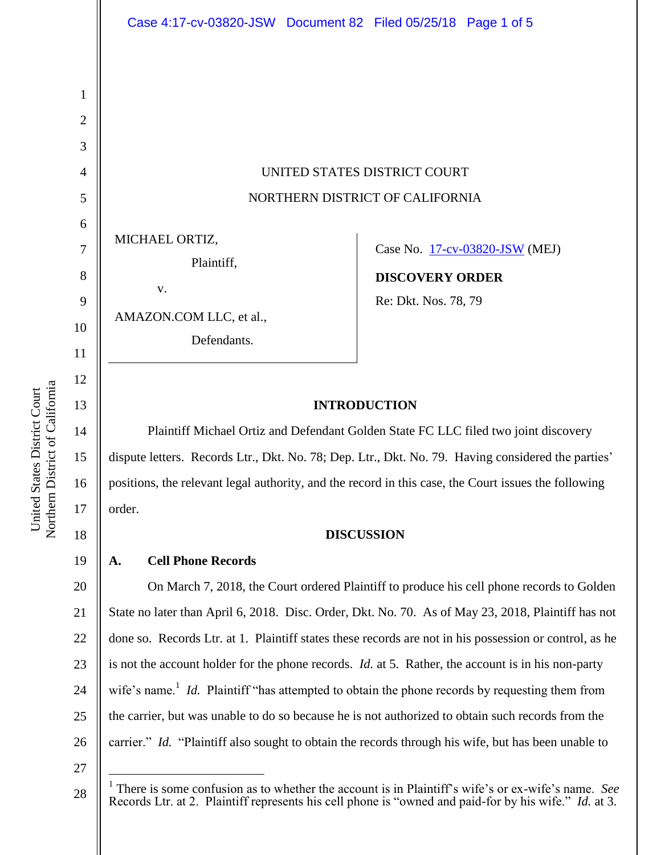UNITED STATES DISTRICT COURT NORTHERN DISTRICT OF CALIFORNIA

MICHAEL ORTIZ,

v.

Plaintiff,

AMAZON.COM LLC, et al.,

Defendants.

Case No. [17-cv-03820-JSW](https://ecf.cand.uscourts.gov/cgi-bin/DktRpt.pl?313897) (MEJ)

**DISCOVERY ORDER**

Re: Dkt. Nos. 78, 79

# **INTRODUCTION**

Plaintiff Michael Ortiz and Defendant Golden State FC LLC filed two joint discovery dispute letters. Records Ltr., Dkt. No. 78; Dep. Ltr., Dkt. No. 79. Having considered the parties' positions, the relevant legal authority, and the record in this case, the Court issues the following order.

18

19

1

2

3

4

5

6

7

8

9

10

11

12

13

14

15

16

17

# **DISCUSSION**

# **A. Cell Phone Records**

20 21 22 23 24 25 26 On March 7, 2018, the Court ordered Plaintiff to produce his cell phone records to Golden State no later than April 6, 2018. Disc. Order, Dkt. No. 70. As of May 23, 2018, Plaintiff has not done so. Records Ltr. at 1. Plaintiff states these records are not in his possession or control, as he is not the account holder for the phone records. *Id.* at 5. Rather, the account is in his non-party wife's name.<sup>1</sup> *Id.* Plaintiff "has attempted to obtain the phone records by requesting them from the carrier, but was unable to do so because he is not authorized to obtain such records from the carrier." *Id.* "Plaintiff also sought to obtain the records through his wife, but has been unable to

27

 $\overline{a}$ 

28

Northern District of California Northern District of California United States District Court United States District Court

<sup>&</sup>lt;sup>1</sup> There is some confusion as to whether the account is in Plaintiff's wife's or ex-wife's name. *See* Records Ltr. at 2. Plaintiff represents his cell phone is "owned and paid-for by his wife." *Id.* at 3.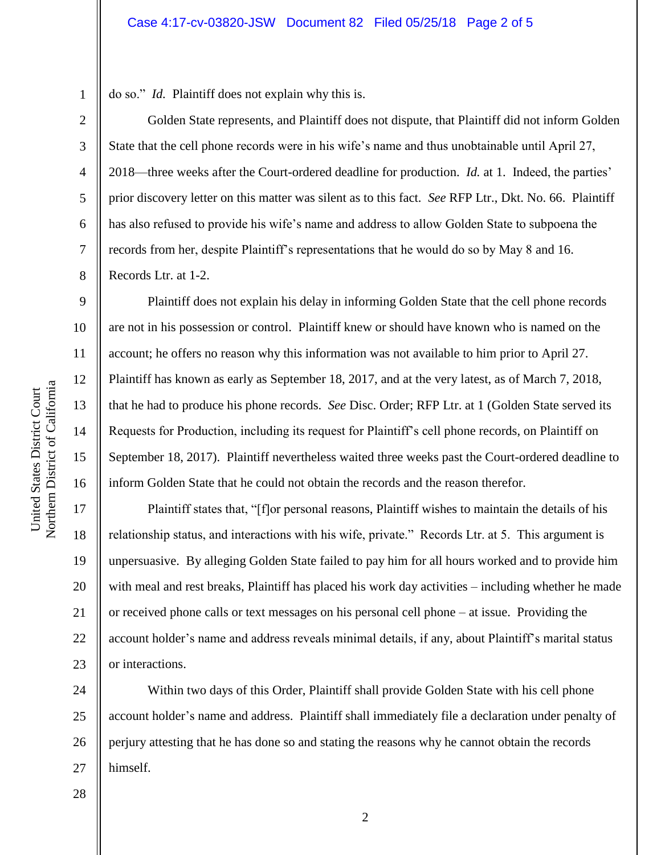do so." *Id.* Plaintiff does not explain why this is.

Golden State represents, and Plaintiff does not dispute, that Plaintiff did not inform Golden State that the cell phone records were in his wife's name and thus unobtainable until April 27, 2018—three weeks after the Court-ordered deadline for production. *Id.* at 1. Indeed, the parties' prior discovery letter on this matter was silent as to this fact. *See* RFP Ltr., Dkt. No. 66. Plaintiff has also refused to provide his wife's name and address to allow Golden State to subpoena the records from her, despite Plaintiff's representations that he would do so by May 8 and 16. Records Ltr. at 1-2.

Plaintiff does not explain his delay in informing Golden State that the cell phone records are not in his possession or control. Plaintiff knew or should have known who is named on the account; he offers no reason why this information was not available to him prior to April 27. Plaintiff has known as early as September 18, 2017, and at the very latest, as of March 7, 2018, that he had to produce his phone records. *See* Disc. Order; RFP Ltr. at 1 (Golden State served its Requests for Production, including its request for Plaintiff's cell phone records, on Plaintiff on September 18, 2017). Plaintiff nevertheless waited three weeks past the Court-ordered deadline to inform Golden State that he could not obtain the records and the reason therefor.

20 22 23 Plaintiff states that, "[f]or personal reasons, Plaintiff wishes to maintain the details of his relationship status, and interactions with his wife, private." Records Ltr. at 5. This argument is unpersuasive. By alleging Golden State failed to pay him for all hours worked and to provide him with meal and rest breaks, Plaintiff has placed his work day activities – including whether he made or received phone calls or text messages on his personal cell phone – at issue. Providing the account holder's name and address reveals minimal details, if any, about Plaintiff's marital status or interactions.

24 25 26 27 Within two days of this Order, Plaintiff shall provide Golden State with his cell phone account holder's name and address. Plaintiff shall immediately file a declaration under penalty of perjury attesting that he has done so and stating the reasons why he cannot obtain the records himself.

2

1

2

3

4

5

6

7

8

9

10

11

12

13

14

15

16

17

18

19

21

28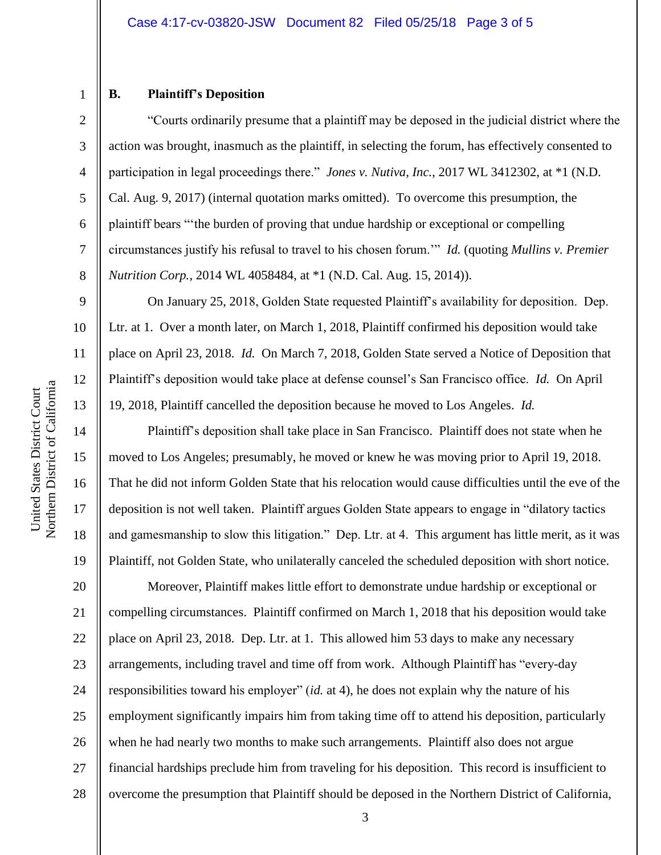### **B. Plaintiff's Deposition**

1

2

3

4

5

6

7

8

9

10

11

12

13

14

15

16

17

18

19

―Courts ordinarily presume that a plaintiff may be deposed in the judicial district where the action was brought, inasmuch as the plaintiff, in selecting the forum, has effectively consented to participation in legal proceedings there." *Jones v. Nutiva, Inc.*, 2017 WL 3412302, at \*1 (N.D. Cal. Aug. 9, 2017) (internal quotation marks omitted). To overcome this presumption, the plaintiff bears "the burden of proving that undue hardship or exceptional or compelling circumstances justify his refusal to travel to his chosen forum." *Id.* (quoting *Mullins v. Premier Nutrition Corp.*, 2014 WL 4058484, at \*1 (N.D. Cal. Aug. 15, 2014)).

On January 25, 2018, Golden State requested Plaintiff's availability for deposition. Dep. Ltr. at 1. Over a month later, on March 1, 2018, Plaintiff confirmed his deposition would take place on April 23, 2018. *Id.* On March 7, 2018, Golden State served a Notice of Deposition that Plaintiff's deposition would take place at defense counsel's San Francisco office. *Id.* On April 19, 2018, Plaintiff cancelled the deposition because he moved to Los Angeles. *Id.*

Plaintiff's deposition shall take place in San Francisco. Plaintiff does not state when he moved to Los Angeles; presumably, he moved or knew he was moving prior to April 19, 2018. That he did not inform Golden State that his relocation would cause difficulties until the eve of the deposition is not well taken. Plaintiff argues Golden State appears to engage in "dilatory tactics" and gamesmanship to slow this litigation." Dep. Ltr. at 4. This argument has little merit, as it was Plaintiff, not Golden State, who unilaterally canceled the scheduled deposition with short notice.

20 21 22 23 24 25 26 27 28 Moreover, Plaintiff makes little effort to demonstrate undue hardship or exceptional or compelling circumstances. Plaintiff confirmed on March 1, 2018 that his deposition would take place on April 23, 2018. Dep. Ltr. at 1. This allowed him 53 days to make any necessary arrangements, including travel and time off from work. Although Plaintiff has "every-day responsibilities toward his employer" (*id.* at 4), he does not explain why the nature of his employment significantly impairs him from taking time off to attend his deposition, particularly when he had nearly two months to make such arrangements. Plaintiff also does not argue financial hardships preclude him from traveling for his deposition. This record is insufficient to overcome the presumption that Plaintiff should be deposed in the Northern District of California,

3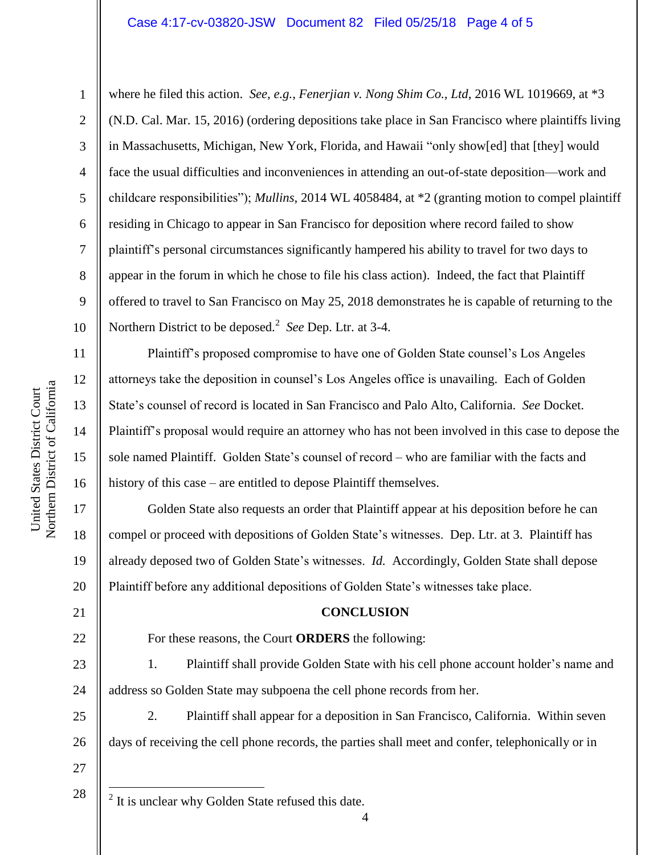### Case 4:17-cv-03820-JSW Document 82 Filed 05/25/18 Page 4 of 5

1

2

3

4

5

6

7

8

9

10

11

12

13

14

15

16

17

18

19

20

21

22

where he filed this action. *See, e.g.*, *Fenerjian v. Nong Shim Co., Ltd*, 2016 WL 1019669, at \*3 (N.D. Cal. Mar. 15, 2016) (ordering depositions take place in San Francisco where plaintiffs living in Massachusetts, Michigan, New York, Florida, and Hawaii "only show[ed] that [they] would face the usual difficulties and inconveniences in attending an out-of-state deposition—work and childcare responsibilities‖); *Mullins*, 2014 WL 4058484, at \*2 (granting motion to compel plaintiff residing in Chicago to appear in San Francisco for deposition where record failed to show plaintiff's personal circumstances significantly hampered his ability to travel for two days to appear in the forum in which he chose to file his class action). Indeed, the fact that Plaintiff offered to travel to San Francisco on May 25, 2018 demonstrates he is capable of returning to the Northern District to be deposed.<sup>2</sup> See Dep. Ltr. at 3-4.

Plaintiff's proposed compromise to have one of Golden State counsel's Los Angeles attorneys take the deposition in counsel's Los Angeles office is unavailing. Each of Golden State's counsel of record is located in San Francisco and Palo Alto, California. *See* Docket. Plaintiff's proposal would require an attorney who has not been involved in this case to depose the sole named Plaintiff. Golden State's counsel of record – who are familiar with the facts and history of this case – are entitled to depose Plaintiff themselves.

Golden State also requests an order that Plaintiff appear at his deposition before he can compel or proceed with depositions of Golden State's witnesses. Dep. Ltr. at 3. Plaintiff has already deposed two of Golden State's witnesses. *Id.* Accordingly, Golden State shall depose Plaintiff before any additional depositions of Golden State's witnesses take place.

#### **CONCLUSION**

For these reasons, the Court **ORDERS** the following:

23 24 1. Plaintiff shall provide Golden State with his cell phone account holder's name and address so Golden State may subpoena the cell phone records from her.

25 26 2. Plaintiff shall appear for a deposition in San Francisco, California. Within seven days of receiving the cell phone records, the parties shall meet and confer, telephonically or in

27 28

 $\overline{a}$ 

 $2$  It is unclear why Golden State refused this date.